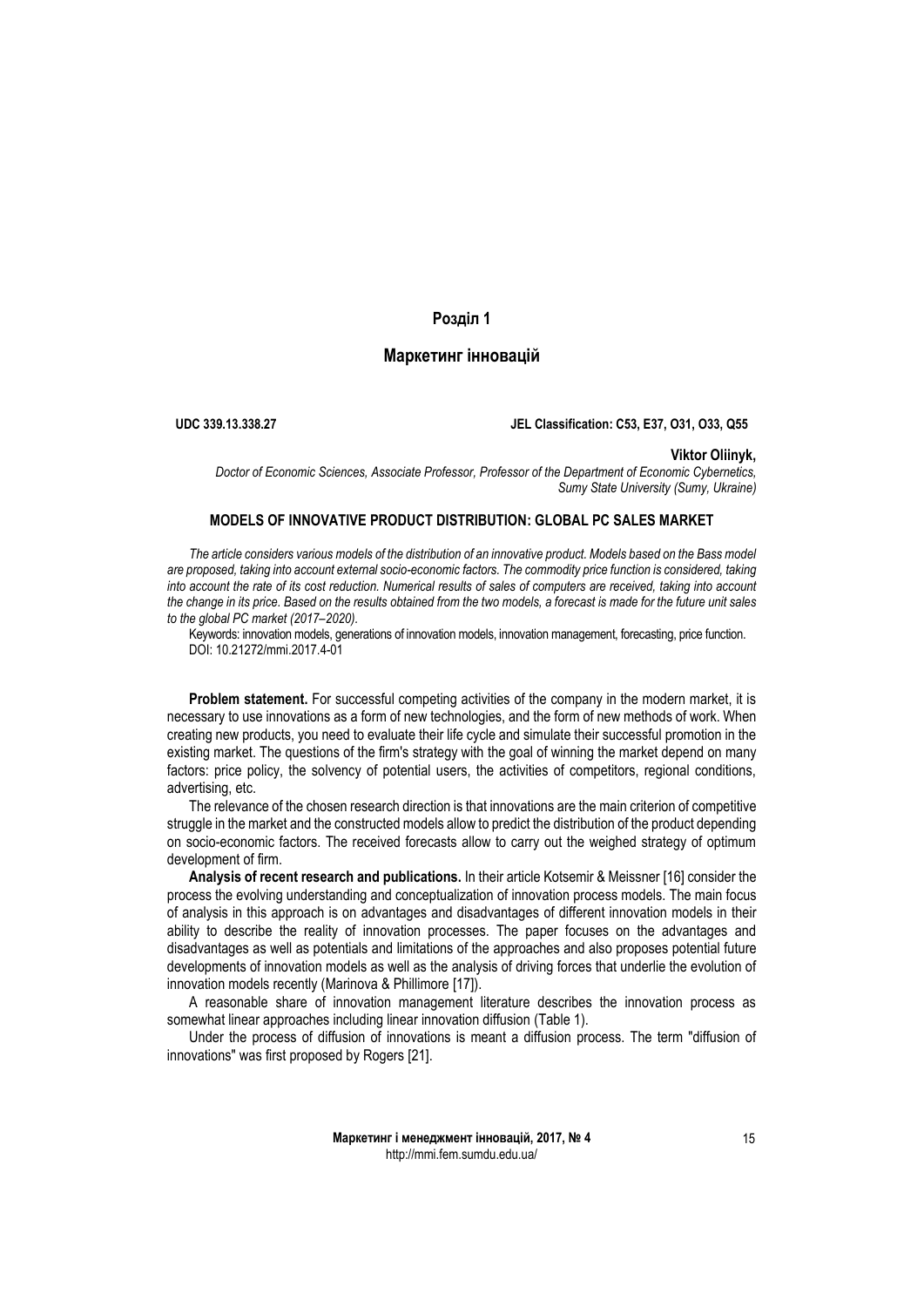# **Розділ 1**

# **Маркетинг інновацій**

**UDC 339.13.338.27 JEL Classification: C53, E37, O31, O33, Q55**

### **Viktor Oliinyk,**

*Doctor of Economic Sciences, Associate Professor, Professor of the Department of Economic Cybernetics, Sumy State University (Sumy, Ukraine)*

## **MODELS OF INNOVATIVE PRODUCT DISTRIBUTION: GLOBAL PC SALES MARKET**

*The article considers various models of the distribution of an innovative product. Models based on the Bass model are proposed, taking into account external socio-economic factors. The commodity price function is considered, taking into account the rate of its cost reduction. Numerical results of sales of computers are received, taking into account the change in its price. Based on the results obtained from the two models, a forecast is made for the future unit sales to the global PC market (2017–2020).*

Keywords: innovation models, generations of innovation models, innovation management, forecasting, price function. DOI: 10.21272/mmi.2017.4-01

**Problem statement.** For successful competing activities of the company in the modern market, it is necessary to use innovations as a form of new technologies, and the form of new methods of work. When creating new products, you need to evaluate their life cycle and simulate their successful promotion in the existing market. The questions of the firm's strategy with the goal of winning the market depend on many factors: price policy, the solvency of potential users, the activities of competitors, regional conditions, advertising, etc.

The relevance of the chosen research direction is that innovations are the main criterion of competitive struggle in the market and the constructed models allow to predict the distribution of the product depending on socio-economic factors. The received forecasts allow to carry out the weighed strategy of optimum development of firm.

**Analysis of recent research and publications.** In their article Kotsemir & Meissner [16] consider the process the evolving understanding and conceptualization of innovation process models. The main focus of analysis in this approach is on advantages and disadvantages of different innovation models in their ability to describe the reality of innovation processes. The paper focuses on the advantages and disadvantages as well as potentials and limitations of the approaches and also proposes potential future developments of innovation models as well as the analysis of driving forces that underlie the evolution of innovation models recently (Marinova & Phillimore [17]).

A reasonable share of innovation management literature describes the innovation process as somewhat linear approaches including linear innovation diffusion (Table 1).

Under the process of diffusion of innovations is meant a diffusion process. The term "diffusion of innovations" was first proposed by Rogers [21].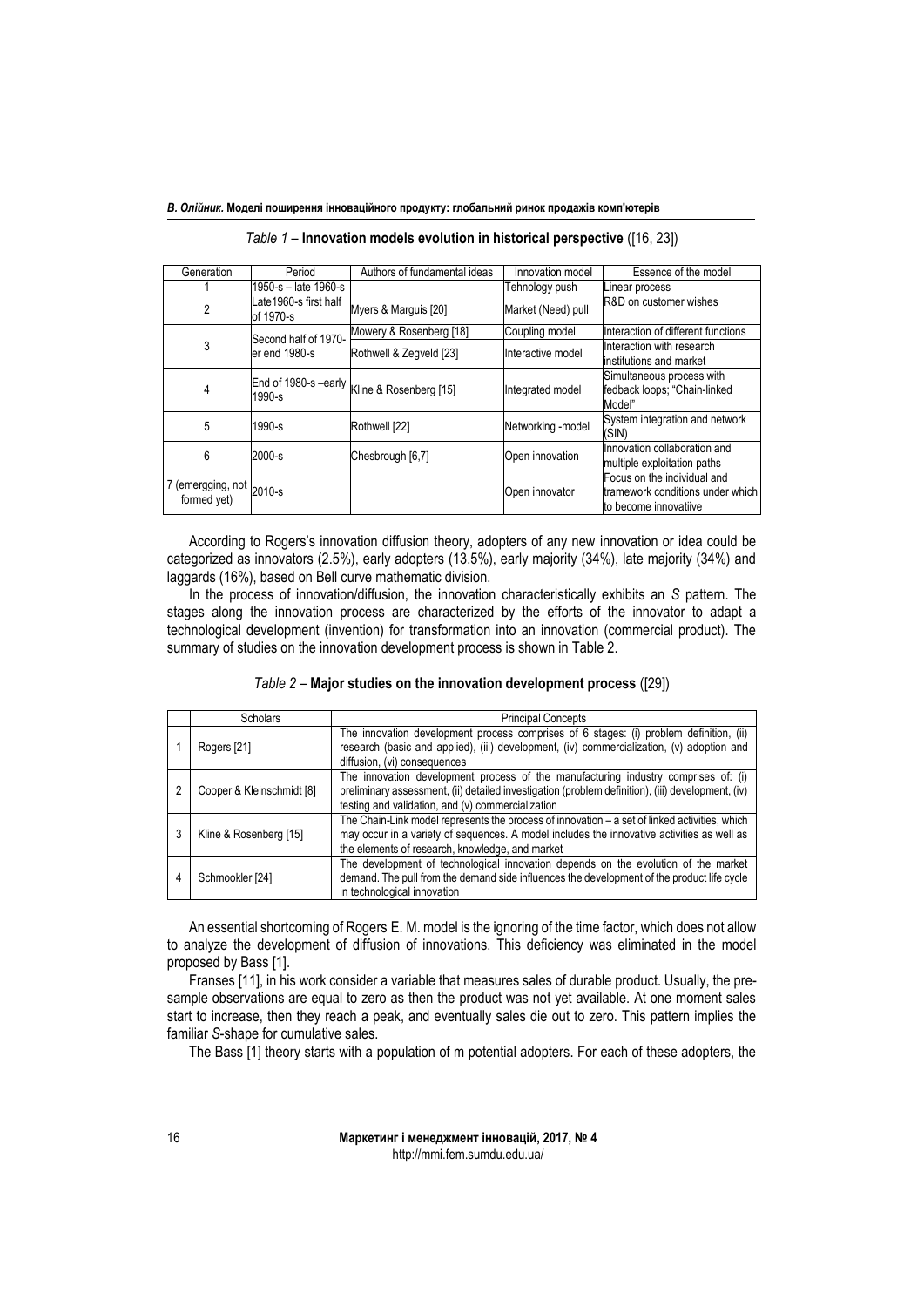| Generation                              | Period                             | Authors of fundamental ideas                | Innovation model   | Essence of the model                                                                     |
|-----------------------------------------|------------------------------------|---------------------------------------------|--------------------|------------------------------------------------------------------------------------------|
|                                         | 1950-s - late 1960-s               |                                             | Tehnology push     | Linear process                                                                           |
| $\mathfrak{p}$                          | Late1960-s first half<br>of 1970-s | Myers & Marguis [20]                        | Market (Need) pull | R&D on customer wishes                                                                   |
|                                         | Second half of 1970-               | Mowery & Rosenberg [18]                     | Coupling model     | Interaction of different functions                                                       |
| 3                                       | er end 1980-s                      | Rothwell & Zegveld [23]                     | Interactive model  | Interaction with research<br>institutions and market                                     |
| 4                                       | $1990 - s$                         | End of 1980-s -early Kline & Rosenberg [15] | Integrated model   | Simultaneous process with<br>fedback loops; "Chain-linked<br>Model"                      |
| 5                                       | 1990-s                             | Rothwell [22]                               | Networking -model  | System integration and network<br>(SIN)                                                  |
| 6                                       | $2000-s$                           | Chesbrough [6,7]                            | Open innovation    | Innovation collaboration and<br>multiple exploitation paths                              |
| 7 (emergging, not 2010-s<br>formed yet) |                                    |                                             | Open innovator     | Focus on the individual and<br>tramework conditions under which<br>to become innovatiive |

*Table 1* – **Innovation models evolution in historical perspective** ([16, 23])

According to Rogers's innovation diffusion theory, adopters of any new innovation or idea could be categorized as innovators (2.5%), early adopters (13.5%), early majority (34%), late majority (34%) and laggards (16%), based on Bell curve mathematic division.

In the process of innovation/diffusion, the innovation characteristically exhibits an *S* pattern. The stages along the innovation process are characterized by the efforts of the innovator to adapt a technological development (invention) for transformation into an innovation (commercial product). The summary of studies on the innovation development process is shown in Table 2.

| Scholars                                                                                                                                                                                                                                                                   | <b>Principal Concepts</b>                                                                                                                                                                                           |
|----------------------------------------------------------------------------------------------------------------------------------------------------------------------------------------------------------------------------------------------------------------------------|---------------------------------------------------------------------------------------------------------------------------------------------------------------------------------------------------------------------|
| Rogers [21]                                                                                                                                                                                                                                                                | The innovation development process comprises of 6 stages: (i) problem definition, (ii)<br>research (basic and applied), (iii) development, (iv) commercialization, (v) adoption and<br>diffusion, (vi) consequences |
| The innovation development process of the manufacturing industry comprises of: (i)<br>preliminary assessment, (ii) detailed investigation (problem definition), (iii) development, (iv)<br>Cooper & Kleinschmidt [8]<br>testing and validation, and (v) commercialization  |                                                                                                                                                                                                                     |
| The Chain-Link model represents the process of innovation $-$ a set of linked activities, which<br>may occur in a variety of sequences. A model includes the innovative activities as well as<br>Kline & Rosenberg [15]<br>the elements of research, knowledge, and market |                                                                                                                                                                                                                     |
|                                                                                                                                                                                                                                                                            | The development of technological innovation depends on the evolution of the market                                                                                                                                  |

*Table 2* – **Major studies on the innovation development process** ([29])

An essential shortcoming of Rogers E. M. model is the ignoring of the time factor, which does not allow to analyze the development of diffusion of innovations. This deficiency was eliminated in the model proposed by Bass [1].

in technological innovation

demand. The pull from the demand side influences the development of the product life cycle

Franses [11], in his work consider a variable that measures sales of durable product. Usually, the presample observations are equal to zero as then the product was not yet available. At one moment sales start to increase, then they reach a peak, and eventually sales die out to zero. This pattern implies the familiar *S*-shape for cumulative sales.

The Bass [1] theory starts with a population of m potential adopters. For each of these adopters, the

4 Schmookler [24]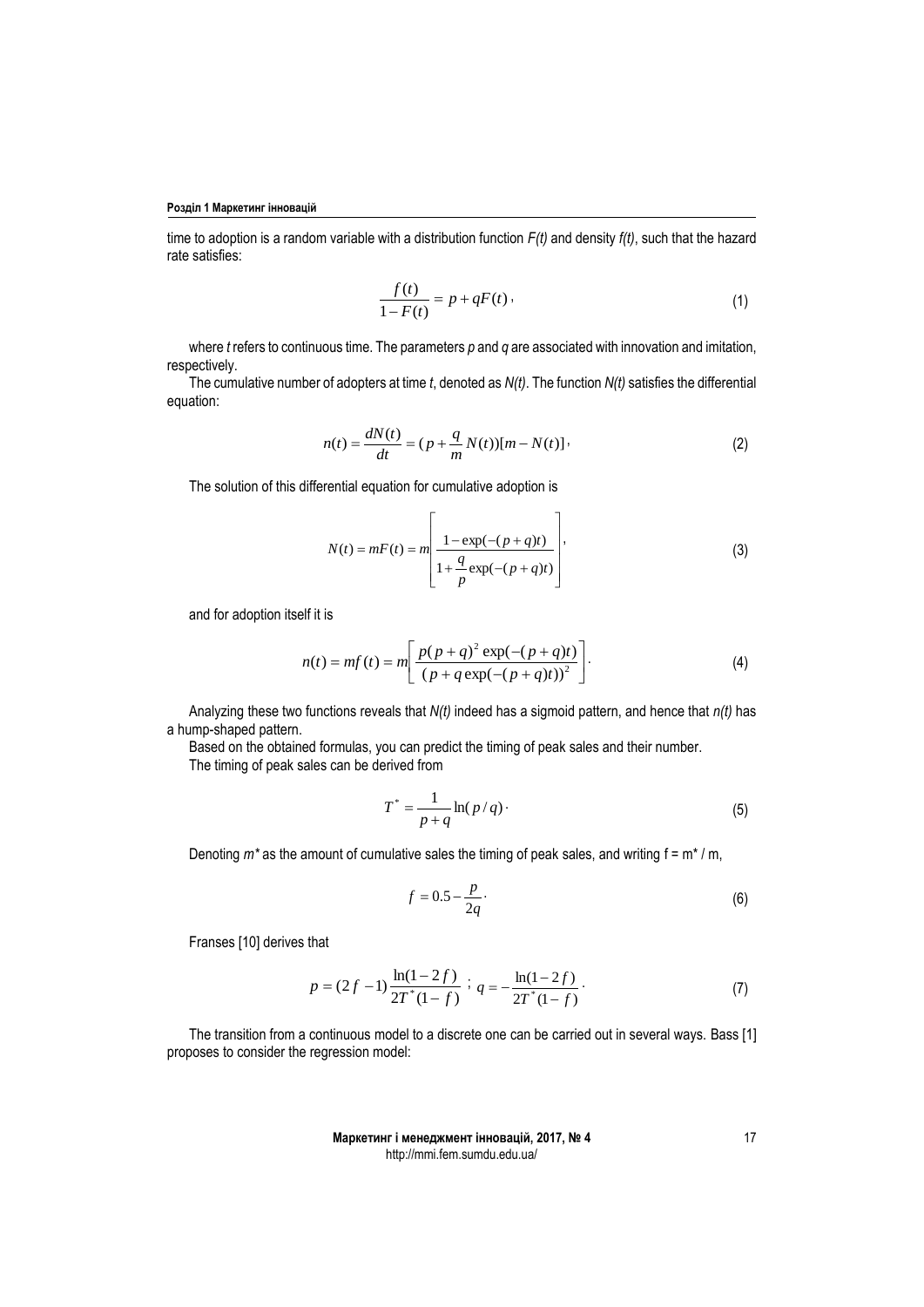time to adoption is a random variable with a distribution function *F(t)* and density *f(t)*, such that the hazard rate satisfies:

$$
\frac{f(t)}{1 - F(t)} = p + qF(t).
$$
 (1)

where *t* refers to continuous time. The parameters *p* and *q* are associated with innovation and imitation, respectively.

The cumulative number of adopters at time *t*, denoted as *N(t)*. The function *N(t)* satisfies the differential equation:

$$
n(t) = \frac{dN(t)}{dt} = (p + \frac{q}{m}N(t))[m - N(t)],
$$
\n(2)

The solution of this differential equation for cumulative adoption is

$$
N(t) = mF(t) = m\left[\frac{1 - \exp(-(p+q)t)}{1 + \frac{q}{p}\exp(-(p+q)t)}\right],
$$
\n(3)

and for adoption itself it is

$$
n(t) = mf(t) = m \left[ \frac{p(p+q)^2 \exp(-(p+q)t)}{(p+q \exp(-(p+q)t))^2} \right].
$$
 (4)

Analyzing these two functions reveals that *N(t)* indeed has a sigmoid pattern, and hence that *n(t)* has a hump-shaped pattern.

Based on the obtained formulas, you can predict the timing of peak sales and their number. The timing of peak sales can be derived from

$$
T^* = \frac{1}{p+q} \ln(p/q)
$$
 (5)

Denoting  $m^*$  as the amount of cumulative sales the timing of peak sales, and writing f = m<sup>\*</sup> / m,

$$
f = 0.5 - \frac{p}{2q}.\tag{6}
$$

Franses [10] derives that

$$
p = (2f - 1)\frac{\ln(1 - 2f)}{2T^*(1 - f)} \; ; \; q = -\frac{\ln(1 - 2f)}{2T^*(1 - f)} \; . \tag{7}
$$

The transition from a continuous model to a discrete one can be carried out in several ways. Bass [1] proposes to consider the regression model: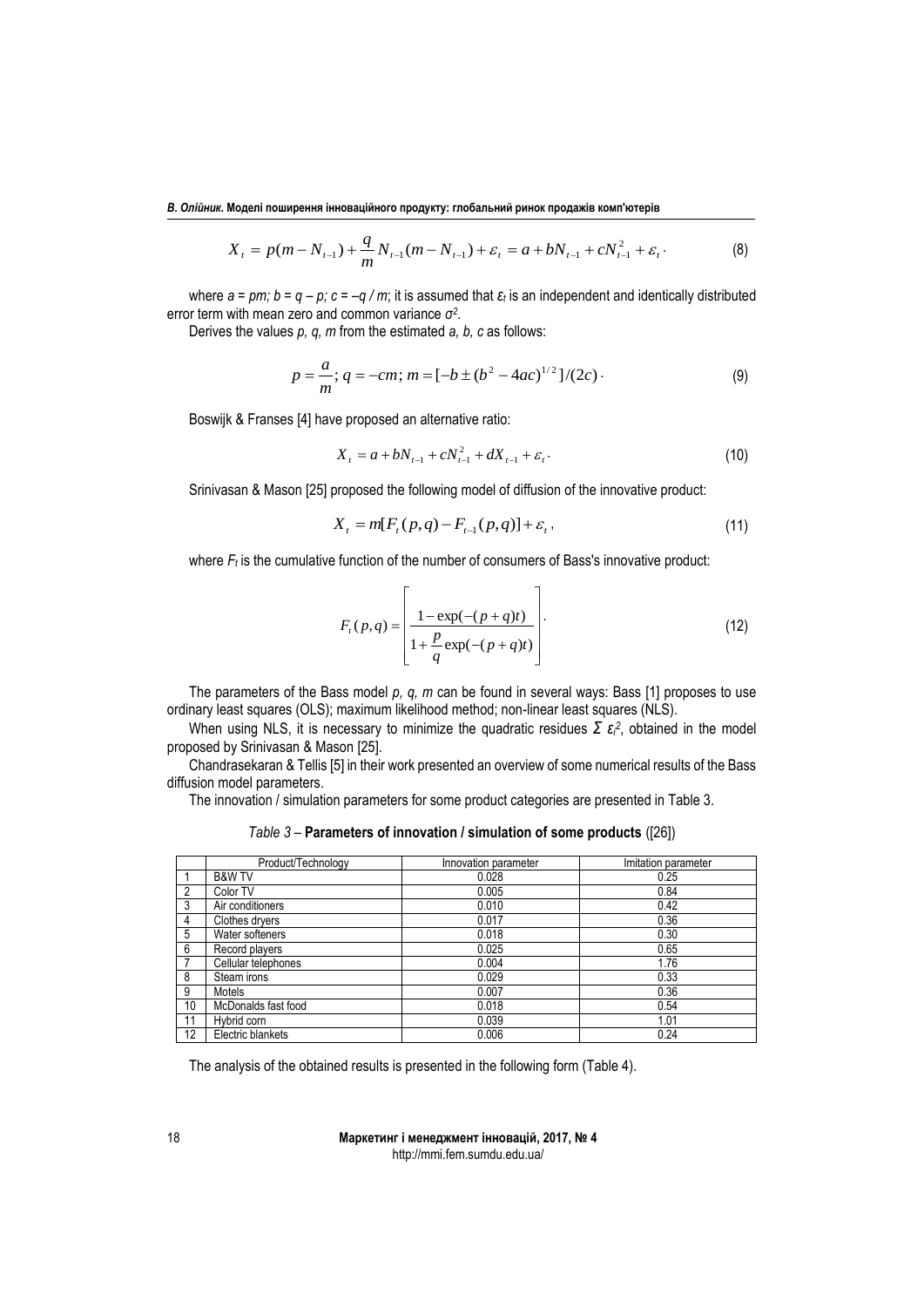$$
X_{t} = p(m - N_{t-1}) + \frac{q}{m} N_{t-1}(m - N_{t-1}) + \varepsilon_{t} = a + bN_{t-1} + cN_{t-1}^{2} + \varepsilon_{t}.
$$
 (8)

where  $a = pm$ ;  $b = q - p$ ;  $c = -q/m$ ; it is assumed that  $\varepsilon_t$  is an independent and identically distributed error term with mean zero and common variance *σ 2* .

Derives the values *p, q, m* from the estimated *a, b, c* as follows:

$$
p = \frac{a}{m}; q = -cm; m = [-b \pm (b^2 - 4ac)^{1/2}]/(2c)
$$
 (9)

Boswijk & Franses [4] have proposed an alternative ratio:

$$
X_{t} = a + bN_{t-1} + cN_{t-1}^{2} + dX_{t-1} + \varepsilon_{t}.
$$
\n(10)

Srinivasan & Mason [25] proposed the following model of diffusion of the innovative product:

$$
X_{t} = m[F_{t}(p,q) - F_{t-1}(p,q)] + \varepsilon_{t}, \qquad (11)
$$

where  $F_t$  is the cumulative function of the number of consumers of Bass's innovative product:

$$
F_{t}(p,q) = \left[ \frac{1 - \exp(-(p+q)t)}{1 + \frac{p}{q} \exp(-(p+q)t)} \right].
$$
 (12)

 $\overline{a}$ 

The parameters of the Bass model *p, q, m* can be found in several ways: Bass [1] proposes to use ordinary least squares (OLS); maximum likelihood method; non-linear least squares (NLS).

When using NLS, it is necessary to minimize the quadratic residues  $\sum \varepsilon_i^2$ , obtained in the model proposed by Srinivasan & Mason [25].

Chandrasekaran & Tellis [5] in their work presented an overview of some numerical results of the Bass diffusion model parameters.

The innovation / simulation parameters for some product categories are presented in Table 3.

| Table 3 - Parameters of innovation / simulation of some products ([26]) |  |  |  |  |
|-------------------------------------------------------------------------|--|--|--|--|
|-------------------------------------------------------------------------|--|--|--|--|

|                | Product/Technology  | Innovation parameter | Imitation parameter |
|----------------|---------------------|----------------------|---------------------|
|                | <b>B&amp;W TV</b>   | 0.028                | 0.25                |
| $\overline{2}$ | Color TV            | 0.005                | 0.84                |
| 3              | Air conditioners    | 0.010                | 0.42                |
| 4              | Clothes dryers      | 0.017                | 0.36                |
| 5              | Water softeners     | 0.018                | 0.30                |
| 6              | Record players      | 0.025                | 0.65                |
| $7^{\circ}$    | Cellular telephones | 0.004                | 1.76                |
| 8              | Steam irons         | 0.029                | 0.33                |
| 9              | Motels              | 0.007                | 0.36                |
| 10             | McDonalds fast food | 0.018                | 0.54                |
| 11             | Hybrid corn         | 0.039                | 1.01                |
| 12             | Electric blankets   | 0.006                | 0.24                |

The analysis of the obtained results is presented in the following form (Table 4).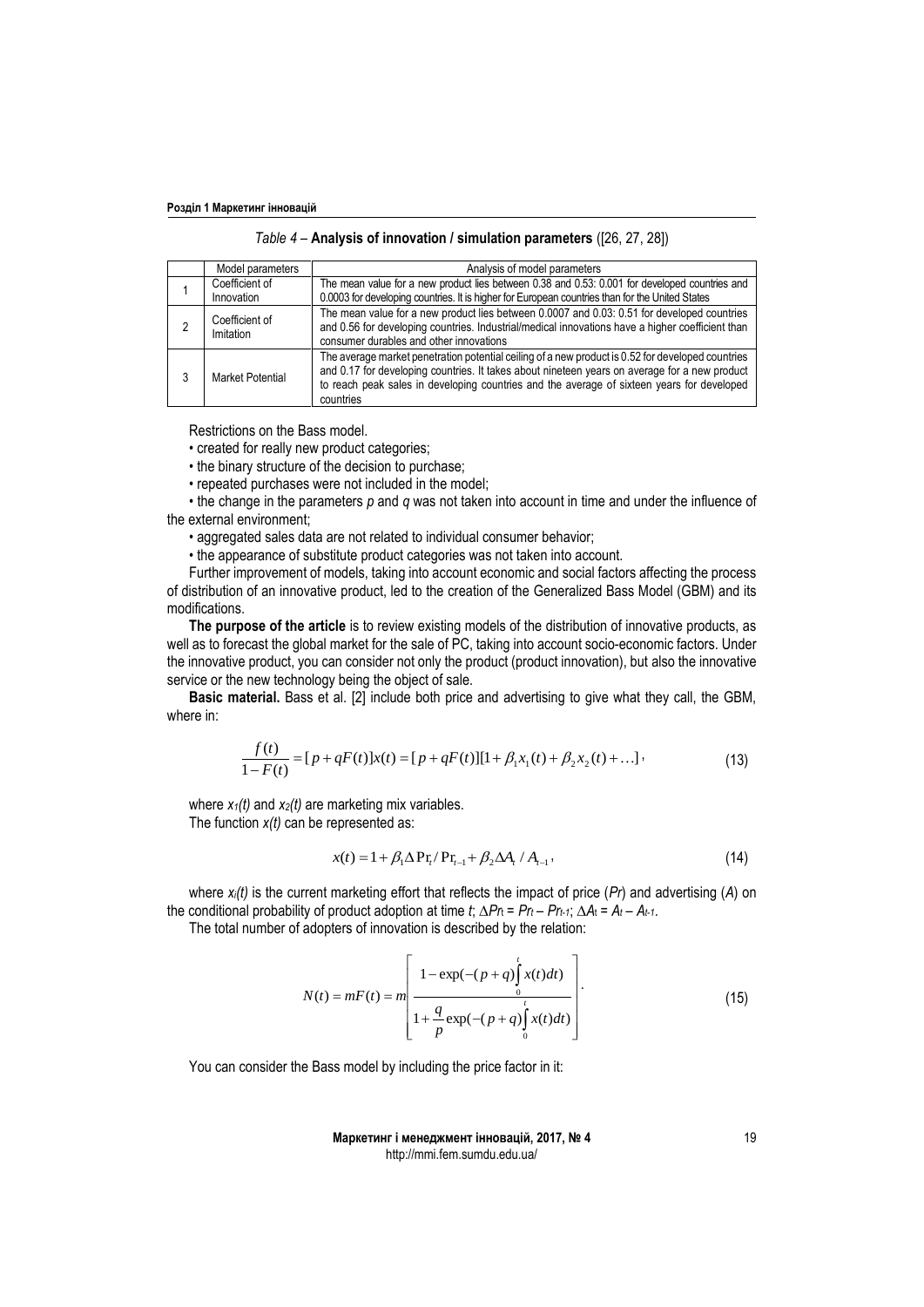| Table 4 - Analysis of innovation / simulation parameters ([26, 27, 28]) |  |  |  |
|-------------------------------------------------------------------------|--|--|--|
|-------------------------------------------------------------------------|--|--|--|

|  | Model parameters            | Analysis of model parameters                                                                                                                                                                                                                                                                                  |
|--|-----------------------------|---------------------------------------------------------------------------------------------------------------------------------------------------------------------------------------------------------------------------------------------------------------------------------------------------------------|
|  | Coefficient of              | The mean value for a new product lies between 0.38 and 0.53: 0.001 for developed countries and                                                                                                                                                                                                                |
|  | Innovation                  | 0.0003 for developing countries. It is higher for European countries than for the United States                                                                                                                                                                                                               |
|  | Coefficient of<br>Imitation | The mean value for a new product lies between 0.0007 and 0.03: 0.51 for developed countries<br>and 0.56 for developing countries. Industrial/medical innovations have a higher coefficient than<br>consumer durables and other innovations                                                                    |
|  | Market Potential            | The average market penetration potential ceiling of a new product is 0.52 for developed countries<br>and 0.17 for developing countries. It takes about nineteen years on average for a new product<br>to reach peak sales in developing countries and the average of sixteen years for developed<br>countries |

Restrictions on the Bass model.

• created for really new product categories;

• the binary structure of the decision to purchase;

• repeated purchases were not included in the model;

• the change in the parameters *p* and *q* was not taken into account in time and under the influence of the external environment;

• aggregated sales data are not related to individual consumer behavior;

• the appearance of substitute product categories was not taken into account.

Further improvement of models, taking into account economic and social factors affecting the process of distribution of an innovative product, led to the creation of the Generalized Bass Model (GBM) and its modifications.

**The purpose of the article** is to review existing models of the distribution of innovative products, as well as to forecast the global market for the sale of PC, taking into account socio-economic factors. Under the innovative product, you can consider not only the product (product innovation), but also the innovative service or the new technology being the object of sale.

**Basic material.** Bass et al. [2] include both price and advertising to give what they call, the GBM, where in:

$$
\frac{f(t)}{1 - F(t)} = [p + qF(t)]x(t) = [p + qF(t)][1 + \beta_1 x_1(t) + \beta_2 x_2(t) + \dots],
$$
\n(13)

where *x1(t)* and *x2(t)* are marketing mix variables. The function *x(t)* can be represented as:

$$
x(t) = 1 + \beta_1 \Delta \Pr_l / \Pr_{t-1} + \beta_2 \Delta A_t / A_{t-1},
$$
\n(14)

where *xi(t)* is the current marketing effort that reflects the impact of price (*Pr*) and advertising (*A*) on the conditional probability of product adoption at time *t*; ∆*Pr*<sup>t</sup> = *Pr<sup>t</sup> – Prt-1*; ∆*A*<sup>t</sup> = *A<sup>t</sup> – At-1*.

The total number of adopters of innovation is described by the relation:

$$
N(t) = mF(t) = m \left[ \frac{1 - \exp(-(p+q)) \int_{0}^{t} x(t)dt)}{1 + \frac{q}{p} \exp(-(p+q)) \int_{0}^{t} x(t)dt)} \right].
$$
 (15)

You can consider the Bass model by including the price factor in it: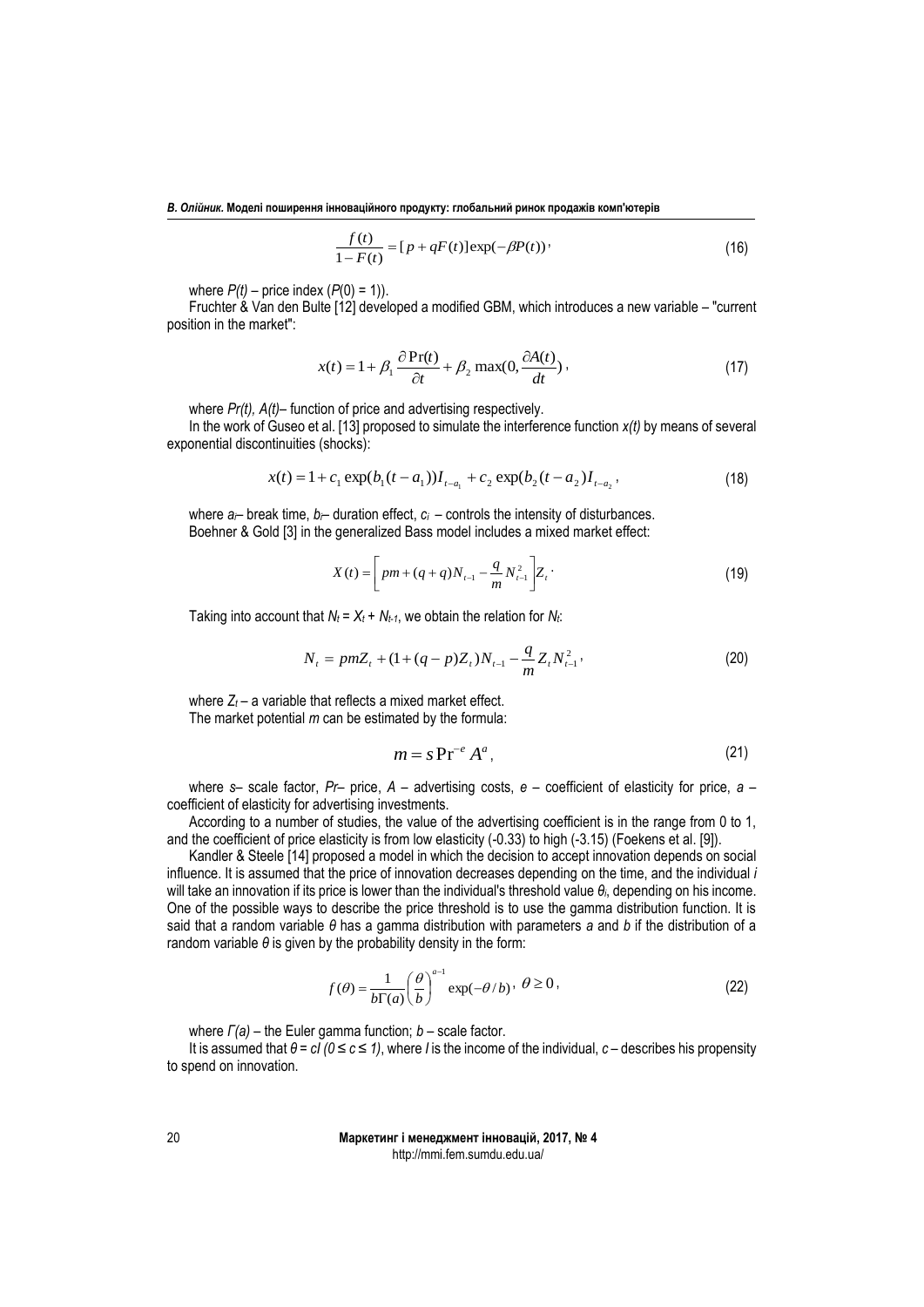$$
\frac{f(t)}{1 - F(t)} = [p + qF(t)] \exp(-\beta P(t))'
$$
\n(16)

where  $P(t)$  – price index  $(P(0) = 1)$ ).

Fruchter & Van den Bulte [12] developed a modified GBM, which introduces a new variable – "current position in the market":

$$
x(t) = 1 + \beta_1 \frac{\partial Pr(t)}{\partial t} + \beta_2 \max(0, \frac{\partial A(t)}{dt}),
$$
\n(17)

where *Pr(t), A(t)*– function of price and advertising respectively.

In the work of Guseo et al. [13] proposed to simulate the interference function *x(t)* by means of several exponential discontinuities (shocks):

$$
x(t) = 1 + c_1 \exp(b_1(t - a_1))I_{t-a_1} + c_2 \exp(b_2(t - a_2)I_{t-a_2},
$$
\n(18)

where  $a$ <sup> $\mu$ </sup> break time,  $b$ <sup> $\mu$ </sup> duration effect,  $c_i$  – controls the intensity of disturbances. Boehner & Gold [3] in the generalized Bass model includes a mixed market effect:

$$
X(t) = \left[ pm + (q+q)N_{t-1} - \frac{q}{m}N_{t-1}^2 \right] Z_t
$$
 (19)

Taking into account that  $N_t = X_t + N_{t-1}$ , we obtain the relation for  $N_t$ :

$$
N_{t} = pmZ_{t} + (1 + (q - p)Z_{t})N_{t-1} - \frac{q}{m}Z_{t}N_{t-1}^{2},
$$
\n(20)

where  $Z_t$  – a variable that reflects a mixed market effect. The market potential *m* can be estimated by the formula:

$$
m = s \operatorname{Pr}^{-e} A^a, \tag{21}
$$

where *s*– scale factor, *Pr*– price, *A* – advertising costs, *e* – coefficient of elasticity for price, *a* – coefficient of elasticity for advertising investments.

According to a number of studies, the value of the advertising coefficient is in the range from 0 to 1, and the coefficient of price elasticity is from low elasticity (-0.33) to high (-3.15) (Foekens et al. [9]).

Kandler & Steele [14] proposed a model in which the decision to accept innovation depends on social influence. It is assumed that the price of innovation decreases depending on the time, and the individual *i* will take an innovation if its price is lower than the individual's threshold value *θi*, depending on his income. One of the possible ways to describe the price threshold is to use the gamma distribution function. It is said that a random variable *θ* has a gamma distribution with parameters *a* and *b* if the distribution of a random variable *θ* is given by the probability density in the form:

$$
f(\theta) = \frac{1}{b\Gamma(a)} \left(\frac{\theta}{b}\right)^{a-1} \exp(-\theta/b), \ \theta \ge 0,
$$
\n(22)

where *Г(a)* – the Euler gamma function; *b* – scale factor.

It is assumed that *θ = cI (0 ≤ c ≤ 1)*, where *I* is the income of the individual, *c* – describes his propensity to spend on innovation.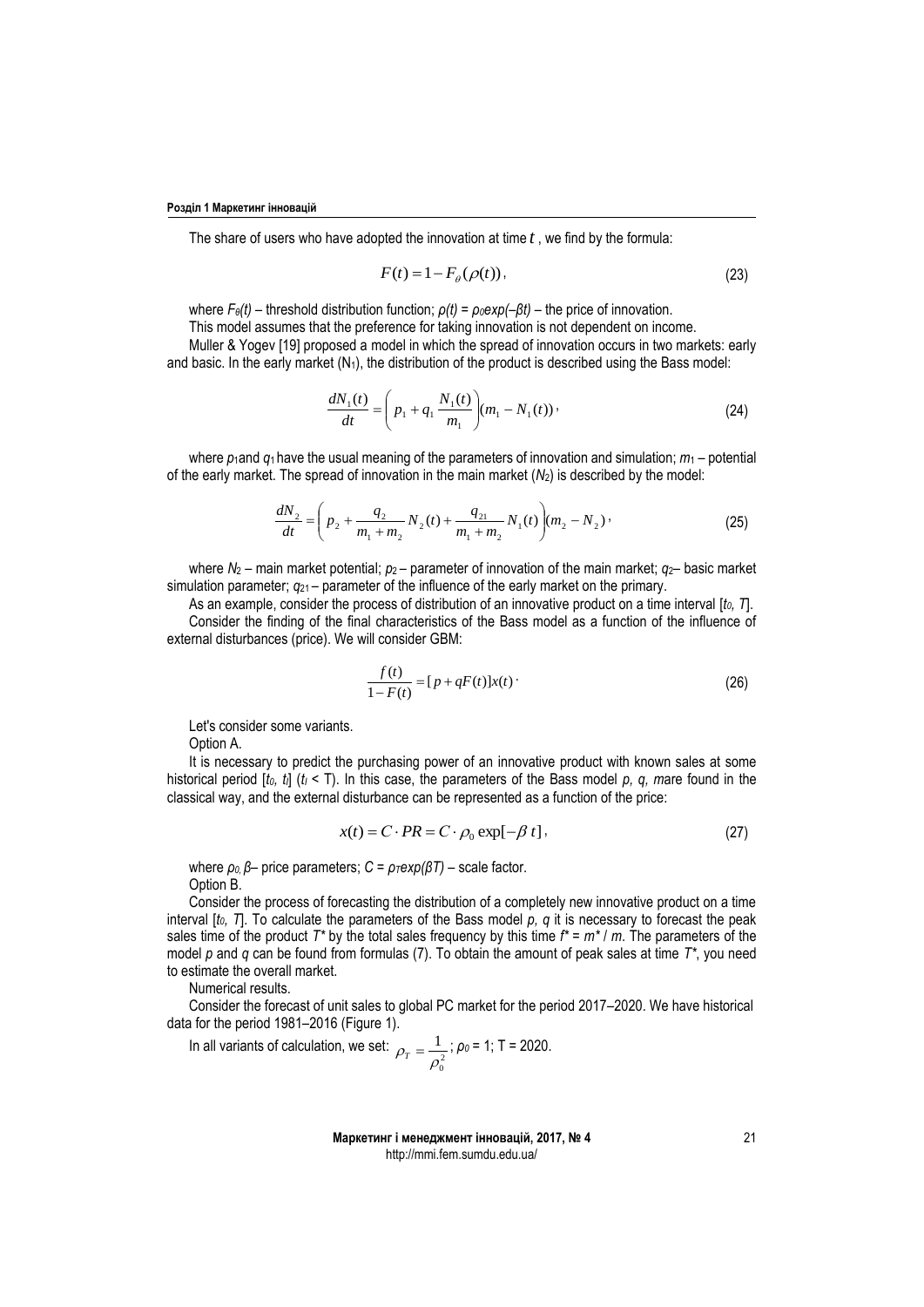The share of users who have adopted the innovation at time *t* , we find by the formula:

$$
F(t) = 1 - F_{\theta}(\rho(t)),\tag{23}
$$

where  $F_{\theta}(t)$  – threshold distribution function;  $\rho(t) = \rho_0 exp(-\beta t)$  – the price of innovation.

This model assumes that the preference for taking innovation is not dependent on income.

Muller & Yogev [19] proposed a model in which the spread of innovation occurs in two markets: early and basic. In the early market  $(N_1)$ , the distribution of the product is described using the Bass model:

$$
\frac{dN_1(t)}{dt} = \left(p_1 + q_1 \frac{N_1(t)}{m_1}\right) (m_1 - N_1(t))\,,\tag{24}
$$

where  $p_1$ and  $q_1$  have the usual meaning of the parameters of innovation and simulation;  $m_1$  – potential of the early market. The spread of innovation in the main market  $(N_2)$  is described by the model:

$$
\frac{dN_2}{dt} = \left(p_2 + \frac{q_2}{m_1 + m_2} N_2(t) + \frac{q_{21}}{m_1 + m_2} N_1(t)\right) (m_2 - N_2) \tag{25}
$$

where *N*<sup>2</sup> – main market potential; *p*2 – parameter of innovation of the main market; *q*2– basic market simulation parameter;  $q_{21}$  – parameter of the influence of the early market on the primary.

As an example, consider the process of distribution of an innovative product on a time interval [*t0, T*]. Consider the finding of the final characteristics of the Bass model as a function of the influence of external disturbances (price). We will consider GBM:

$$
\frac{f(t)}{1 - F(t)} = [p + qF(t)]x(t)
$$
\n(26)

Let's consider some variants.

Option A.

It is necessary to predict the purchasing power of an innovative product with known sales at some historical period [*t0, tI*] (*t<sup>I</sup>* < T). In this case, the parameters of the Bass model *p, q, m*are found in the classical way, and the external disturbance can be represented as a function of the price:

$$
x(t) = C \cdot PR = C \cdot \rho_0 \exp[-\beta t], \qquad (27)
$$

where  $ρ_0$ ,  $β$  – price parameters;  $C = ρ_T exp(βT)$  – scale factor. Option B.

Consider the process of forecasting the distribution of a completely new innovative product on a time interval [*t0, T*]. To calculate the parameters of the Bass model *p, q* it is necessary to forecast the peak sales time of the product  $T^*$  by the total sales frequency by this time  $f^* = m^* / m$ . The parameters of the model *p* and *q* can be found from formulas (7). To obtain the amount of peak sales at time *T\**, you need to estimate the overall market.

Numerical results.

Consider the forecast of unit sales to global PC market for the period 2017–2020. We have historical data for the period 1981–2016 (Figure 1).

In all variants of calculation, we set: 
$$
\rho_T = \frac{1}{\rho_0^2}
$$
;  $\rho_0 = 1$ ; T = 2020.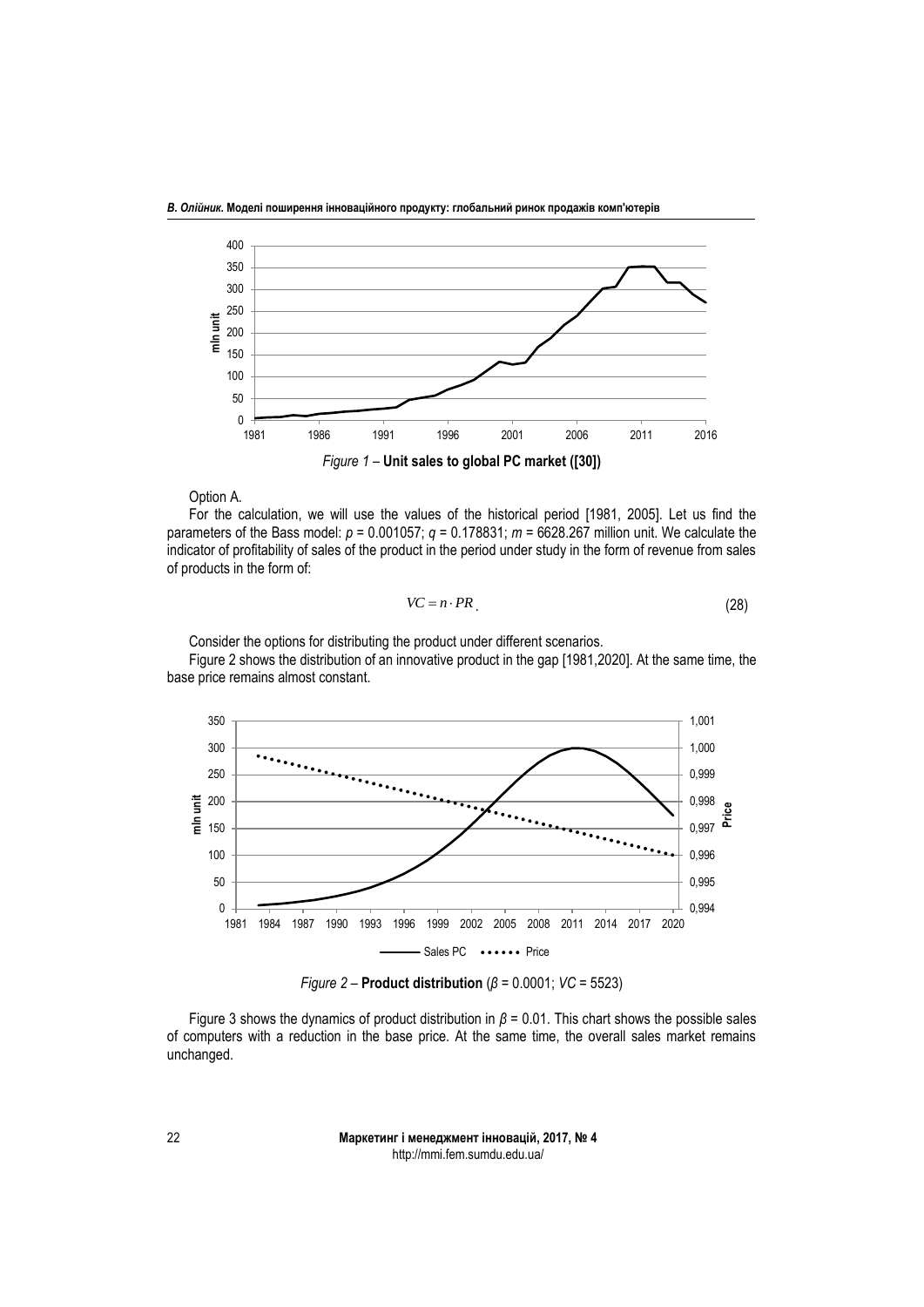

Option A.

For the calculation, we will use the values of the historical period [1981, 2005]. Let us find the parameters of the Bass model:  $p = 0.001057$ ;  $q = 0.178831$ ;  $m = 6628.267$  million unit. We calculate the indicator of profitability of sales of the product in the period under study in the form of revenue from sales of products in the form of:

$$
VC = n \cdot PR \tag{28}
$$

Consider the options for distributing the product under different scenarios.

Figure 2 shows the distribution of an innovative product in the gap [1981,2020]. At the same time, the base price remains almost constant.



*Figure 2* – **Product distribution** (*β* = 0.0001; *VC* = 5523)

Figure 3 shows the dynamics of product distribution in *β* = 0.01. This chart shows the possible sales of computers with a reduction in the base price. At the same time, the overall sales market remains unchanged.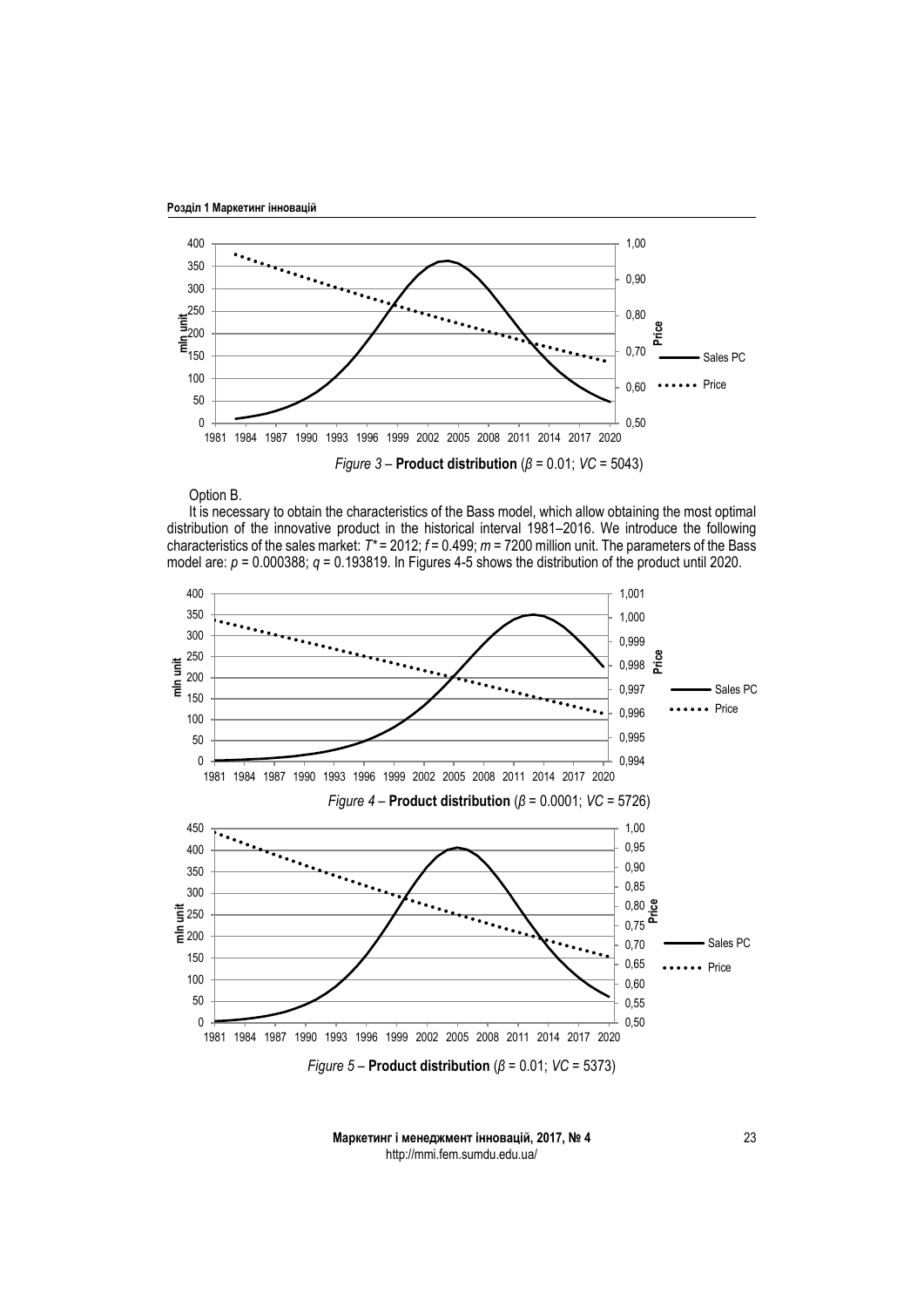



Option B.

It is necessary to obtain the characteristics of the Bass model, which allow obtaining the most optimal distribution of the innovative product in the historical interval 1981–2016. We introduce the following characteristics of the sales market: *T\** = 2012; *f* = 0.499; *m* = 7200 million unit. The parameters of the Bass model are: *p* = 0.000388; *q* = 0.193819. In Figures 4-5 shows the distribution of the product until 2020.

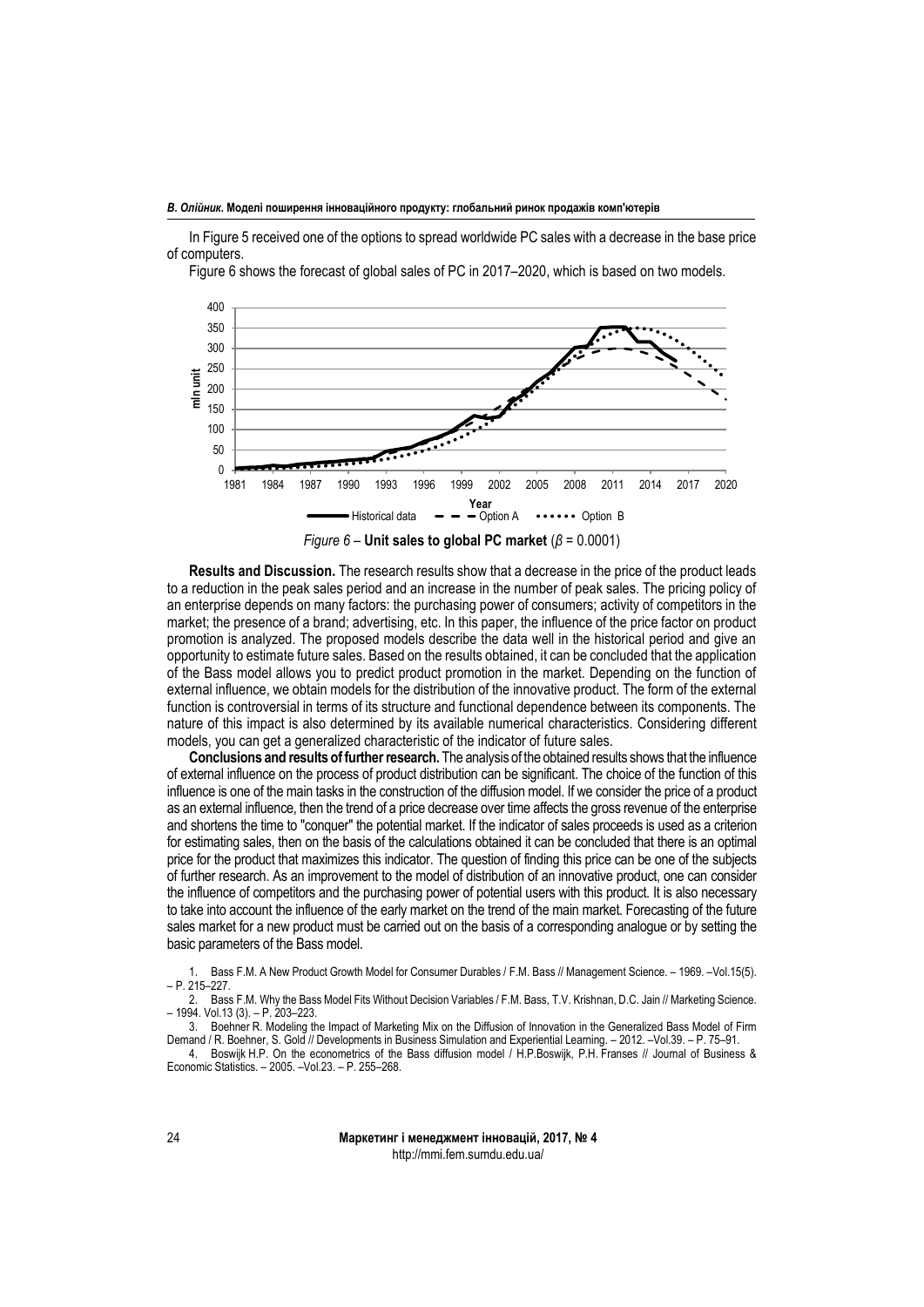In Figure 5 received one of the options to spread worldwide PC sales with a decrease in the base price of computers.

Figure 6 shows the forecast of global sales of PC in 2017–2020, which is based on two models.



**Results and Discussion.** The research results show that a decrease in the price of the product leads to a reduction in the peak sales period and an increase in the number of peak sales. The pricing policy of an enterprise depends on many factors: the purchasing power of consumers; activity of competitors in the market; the presence of a brand; advertising, etc. In this paper, the influence of the price factor on product promotion is analyzed. The proposed models describe the data well in the historical period and give an opportunity to estimate future sales. Based on the results obtained, it can be concluded that the application of the Bass model allows you to predict product promotion in the market. Depending on the function of external influence, we obtain models for the distribution of the innovative product. The form of the external function is controversial in terms of its structure and functional dependence between its components. The nature of this impact is also determined by its available numerical characteristics. Considering different models, you can get a generalized characteristic of the indicator of future sales.

**Conclusions and results of further research.** The analysis of the obtained results shows that the influence of external influence on the process of product distribution can be significant. The choice of the function of this influence is one of the main tasks in the construction of the diffusion model. If we consider the price of a product as an external influence, then the trend of a price decrease over time affects the gross revenue of the enterprise and shortens the time to "conquer" the potential market. If the indicator of sales proceeds is used as a criterion for estimating sales, then on the basis of the calculations obtained it can be concluded that there is an optimal price for the product that maximizes this indicator. The question of finding this price can be one of the subjects of further research. As an improvement to the model of distribution of an innovative product, one can consider the influence of competitors and the purchasing power of potential users with this product. It is also necessary to take into account the influence of the early market on the trend of the main market. Forecasting of the future sales market for a new product must be carried out on the basis of a corresponding analogue or by setting the basic parameters of the Bass model.

1. Bass F.M. A New Product Growth Model for Consumer Durables / F.M. Bass // Management Science. – 1969. –Vol.15(5). – P. 215–227.

2. Bass F.M. Why the Bass Model Fits Without Decision Variables / F.M. Bass, T.V. Krishnan, D.C. Jain // Marketing Science. – 1994. Vol.13 (3). – P. 203–223.

Boehner R. Modeling the Impact of Marketing Mix on the Diffusion of Innovation in the Generalized Bass Model of Firm Demand / R. Boehner, S. Gold // Developments in Business Simulation and Experiential Learning. – 2012. –Vol.39. – P. 75–91.

4. Boswijk H.P. On the econometrics of the Bass diffusion model / H.P.Boswijk, P.H. Franses // Journal of Business & Economic Statistics. – 2005. –Vol.23. – P. 255–268.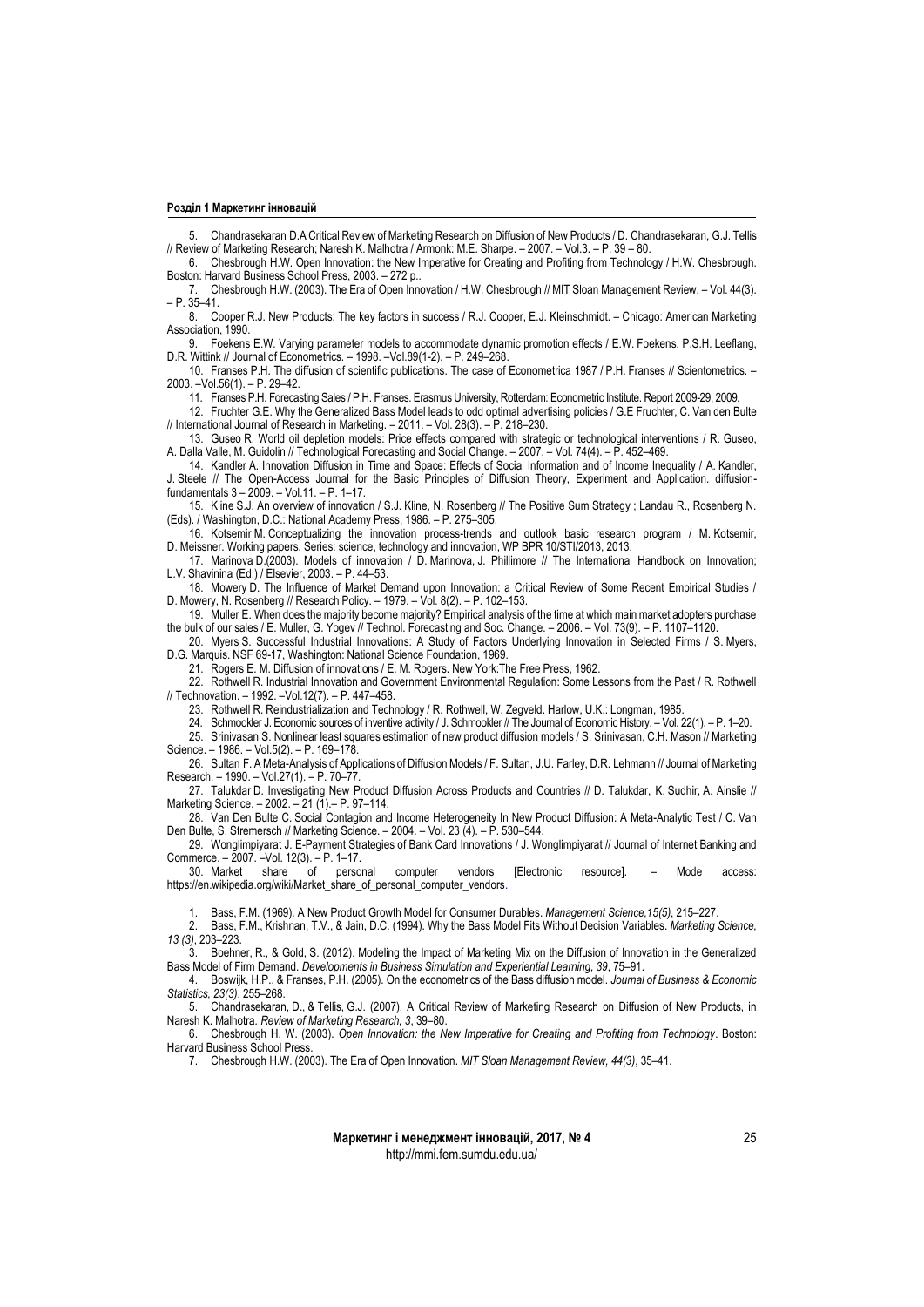5. Chandrasekaran D.A Critical Review of Marketing Research on Diffusion of New Products / D. Chandrasekaran, G.J. Tellis // Review of Marketing Research; Naresh K. Malhotra / Armonk: M.E. Sharpe. – 2007. – Vol.3. – P. 39 – 80.

6. Chesbrough H.W. Open Innovation: the New Imperative for Creating and Profiting from Technology / H.W. Chesbrough. Boston: Harvard Business School Press, 2003. – 272 p..

7. Chesbrough H.W. (2003). The Era of Open Innovation / H.W. Chesbrough // MIT Sloan Management Review. – Vol. 44(3). – P. 35–41.

8. Cooper R.J. New Products: The key factors in success / R.J. Cooper, E.J. Kleinschmidt. – Chicago: American Marketing Association, 1990.

9. Foekens E.W. Varying parameter models to accommodate dynamic promotion effects / E.W. Foekens, P.S.H. Leeflang, D.R. Wittink // Journal of Econometrics. – 1998. –Vol.89(1-2). – P. 249–268.

10. Franses P.H. The diffusion of scientific publications. The case of Econometrica 1987 / P.H. Franses // Scientometrics. – 2003. –Vol.56(1). – P. 29–42.

11. Franses P.H. Forecasting Sales / P.H. Franses. Erasmus University, Rotterdam: Econometric Institute. Report 2009-29, 2009.

12. Fruchter G.E. Why the Generalized Bass Model leads to odd optimal advertising policies / G.E Fruchter, C. Van den Bulte // International Journal of Research in Marketing. – 2011. – Vol. 28(3). – P. 218–230.

13. Guseo R. World oil depletion models: Price effects compared with strategic or technological interventions / R. Guseo, A. Dalla Valle, M. Guidolin // Technological Forecasting and Social Change. – 2007. – Vol. 74(4). – P. 452–469.

14. Kandler A. Innovation Diffusion in Time and Space: Effects of Social Information and of Income Inequality / A. Kandler, J. Steele // The Open-Access Journal for the Basic Principles of Diffusion Theory, Experiment and Application. diffusionfundamentals 3 – 2009. – Vol.11. – P. 1–17.

15. Kline S.J. An overview of innovation / S.J. Kline, N. Rosenberg // The Positive Sum Strategy ; Landau R., Rosenberg N. (Eds). / Washington, D.C.: National Academy Press, 1986. – P. 275–305.

16. Kotsemir M. Conceptualizing the innovation process-trends and outlook basic research program / M. Kotsemir, D. Meissner. Working papers, Series: science, technology and innovation, WP BPR 10/STI/2013, 2013.

17. Marinova D.(2003). Models of innovation / D. Marinova, J. Phillimore // The International Handbook on Innovation; L.V. Shavinina (Ed.) / Elsevier, 2003. – P. 44–53.

18. Mowery D. The Influence of Market Demand upon Innovation: a Critical Review of Some Recent Empirical Studies / D. Mowery, N. Rosenberg // Research Policy. – 1979. – Vol. 8(2). – P. 102–153.

19. Muller E. When does the majority become majority? Empirical analysis of the time at which main market adopters purchase the bulk of our sales / E. Muller, G. Yogev // Technol. Forecasting and Soc. Change. – 2006. – Vol. 73(9). – P. 1107–1120.

20. Myers S. Successful Industrial Innovations: A Study of Factors Underlying Innovation in Selected Firms / S. Myers, D.G. Marquis. NSF 69-17, Washington: National Science Foundation, 1969.

21. Rogers E. M. Diffusion of innovations / E. M. Rogers. New York:The Free Press, 1962.

22. Rothwell R. Industrial Innovation and Government Environmental Regulation: Some Lessons from the Past / R. Rothwell // Technovation. – 1992. –Vol.12(7). – P. 447–458.

- 23. Rothwell R. Reindustrialization and Technology / R. Rothwell, W. Zegveld. Harlow, U.K.: Longman, 1985.
- 24. Schmookler J. Economic sources of inventive activity / J. Schmookler // The Journal of Economic History. Vol. 22(1). P. 1–20. 25. Srinivasan S. Nonlinear least squares estimation of new product diffusion models / S. Srinivasan, C.H. Mason // Marketing

Science. – 1986. – Vol.5(2). – P. 169–178.

26. Sultan F. A Meta-Analysis of Applications of Diffusion Models / F. Sultan, J.U. Farley, D.R. Lehmann // Journal of Marketing Research. – 1990. – Vol.27(1). – P. 70–77.

27. Talukdar D. Investigating New Product Diffusion Across Products and Countries // D. Talukdar, K. Sudhir, A. Ainslie // Marketing Science. – 2002. – 21 (1).– P. 97–114.

28. Van Den Bulte C. Social Contagion and Income Heterogeneity In New Product Diffusion: A Meta-Analytic Test / C. Van Den Bulte, S. Stremersch // Marketing Science. – 2004. – Vol. 23 (4). – P. 530–544.

29. Wonglimpiyarat J. E-Payment Strategies of Bank Card Innovations / J. Wonglimpiyarat // Journal of Internet Banking and Commerce. – 2007. –Vol. 12(3). – P. 1–17.

30. Market share of personal computer vendors [Electronic resource]. – Mode access: [https://en.wikipedia.org/wiki/Market\\_share\\_of\\_personal\\_computer\\_vendors.](https://en.wikipedia.org/wiki/Market_share_of_personal_computer_vendors)

1. Bass, F.M. (1969). A New Product Growth Model for Consumer Durables. *Management Science,15(5)*, 215–227.

2. Bass, F.M., Krishnan, T.V., & Jain, D.C. (1994). Why the Bass Model Fits Without Decision Variables. *Marketing Science, 13 (3)*, 203–223.

3. Boehner, R., & Gold, S. (2012). Modeling the Impact of Marketing Mix on the Diffusion of Innovation in the Generalized Bass Model of Firm Demand. *Developments in Business Simulation and Experiential Learning, 39*, 75–91.

4. Boswijk, H.P., & Franses, P.H. (2005). On the econometrics of the Bass diffusion model. *Journal of Business & Economic Statistics, 23(3)*, 255–268.

5. Chandrasekaran, D., & Tellis, G.J. (2007). A Critical Review of Marketing Research on Diffusion of New Products, in Naresh K. Malhotra*. Review of Marketing Research, 3*, 39–80.

6. Chesbrough H. W. (2003). *Open Innovation: the New Imperative for Creating and Profiting from Technology*. Boston: Harvard Business School Press.

7. Chesbrough H.W. (2003). The Era of Open Innovation. *MIT Sloan Management Review, 44(3)*, 35–41.